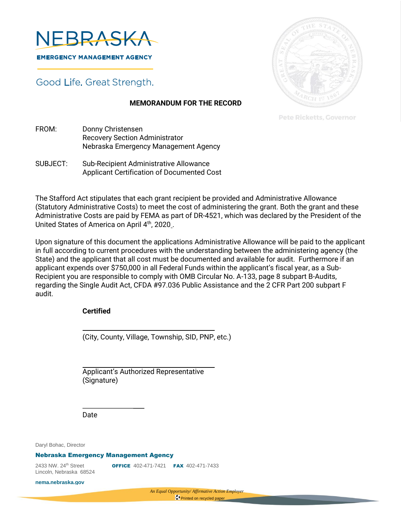

Good Life. Great Strength.

## **MEMORANDUM FOR THE RECORD**

**Pete Ricketts, Governor** 

- FROM: Donny Christensen Recovery Section Administrator Nebraska Emergency Management Agency
- SUBJECT: Sub-Recipient Administrative Allowance Applicant Certification of Documented Cost

The Stafford Act stipulates that each grant recipient be provided and Administrative Allowance (Statutory Administrative Costs) to meet the cost of administering the grant. Both the grant and these Administrative Costs are paid by FEMA as part of DR-4521, which was declared by the President of the United States of America on April 4<sup>th</sup>, 2020.

Upon signature of this document the applications Administrative Allowance will be paid to the applicant in full according to current procedures with the understanding between the administering agency (the State) and the applicant that all cost must be documented and available for audit. Furthermore if an applicant expends over \$750,000 in all Federal Funds within the applicant's fiscal year, as a Sub-Recipient you are responsible to comply with OMB Circular No. A-133, page 8 subpart B-Audits, regarding the Single Audit Act, CFDA #97.036 Public Assistance and the 2 CFR Part 200 subpart F audit.

## **Certified**

(City, County, Village, Township, SID, PNP, etc.)

Applicant's Authorized Representative (Signature)

Date

Daryl Bohac, Director

## Nebraska Emergency Management Agency

Lincoln, Nebraska 68524

2433 NW. 24<sup>th</sup> Street **OFFICE** 402-471-7421 **FAX** 402-471-7433

**nema.nebraska.gov**